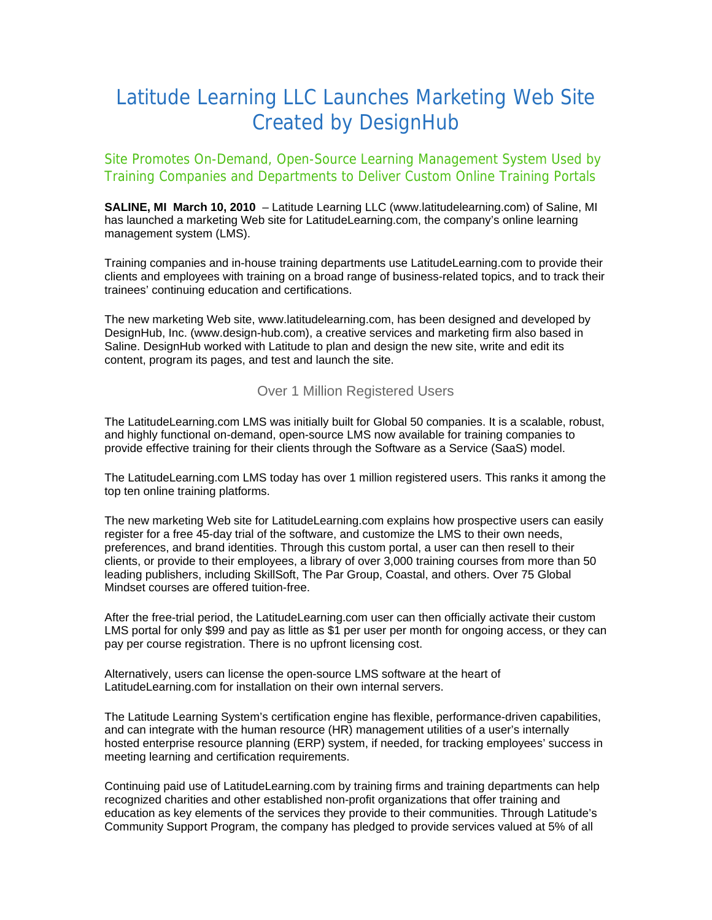## Latitude Learning LLC Launches Marketing Web Site Created by DesignHub

Site Promotes On-Demand, Open-Source Learning Management System Used by Training Companies and Departments to Deliver Custom Online Training Portals

**SALINE, MI March 10, 2010** – Latitude Learning LLC [\(www.latitudelearning.com](http://www.latitudelearning.com/)) of Saline, MI has launched a marketing Web site for LatitudeLearning.com, the company's online learning management system (LMS).

Training companies and in-house training departments use LatitudeLearning.com to provide their clients and employees with training on a broad range of business-related topics, and to track their trainees' continuing education and certifications.

The new marketing Web site, www.latitudelearning.com, has been designed and developed by DesignHub, Inc. [\(www.design-hub.com\)](http://www.design-hub.com/), a creative services and marketing firm also based in Saline. DesignHub worked with Latitude to plan and design the new site, write and edit its content, program its pages, and test and launch the site.

Over 1 Million Registered Users

The LatitudeLearning.com LMS was initially built for Global 50 companies. It is a scalable, robust, and highly functional on-demand, open-source LMS now available for training companies to provide effective training for their clients through the Software as a Service (SaaS) model.

The LatitudeLearning.com LMS today has over 1 million registered users. This ranks it among the top ten online training platforms.

The new marketing Web site for LatitudeLearning.com explains how prospective users can easily register for a free 45-day trial of the software, and customize the LMS to their own needs, preferences, and brand identities. Through this custom portal, a user can then resell to their clients, or provide to their employees, a library of over 3,000 training courses from more than 50 leading publishers, including SkillSoft, The Par Group, Coastal, and others. Over 75 Global Mindset courses are offered tuition-free.

After the free-trial period, the LatitudeLearning.com user can then officially activate their custom LMS portal for only \$99 and pay as little as \$1 per user per month for ongoing access, or they can pay per course registration. There is no upfront licensing cost.

Alternatively, users can license the open-source LMS software at the heart of LatitudeLearning.com for installation on their own internal servers.

The Latitude Learning System's certification engine has flexible, performance-driven capabilities, and can integrate with the human resource (HR) management utilities of a user's internally hosted enterprise resource planning (ERP) system, if needed, for tracking employees' success in meeting learning and certification requirements.

Continuing paid use of LatitudeLearning.com by training firms and training departments can help recognized charities and other established non-profit organizations that offer training and education as key elements of the services they provide to their communities. Through Latitude's Community Support Program, the company has pledged to provide services valued at 5% of all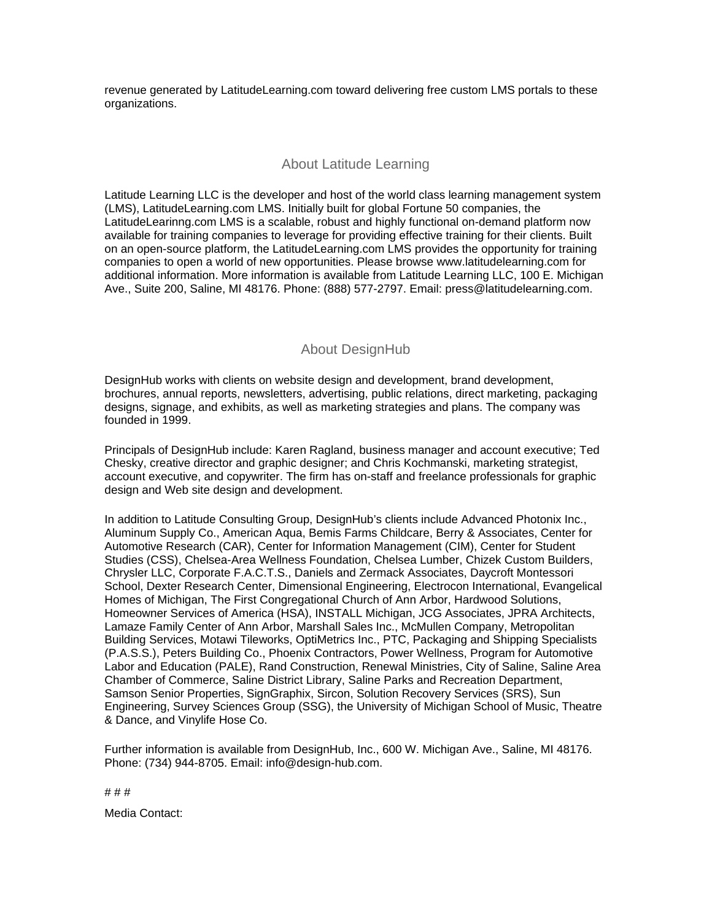revenue generated by LatitudeLearning.com toward delivering free custom LMS portals to these organizations.

## About Latitude Learning

Latitude Learning LLC is the developer and host of the world class learning management system (LMS), LatitudeLearning.com LMS. Initially built for global Fortune 50 companies, the LatitudeLearinng.com LMS is a scalable, robust and highly functional on-demand platform now available for training companies to leverage for providing effective training for their clients. Built on an open-source platform, the LatitudeLearning.com LMS provides the opportunity for training companies to open a world of new opportunities. Please browse [www.latitudelearning.com](http://www.latitudelearning.com/) for additional information. More information is available from Latitude Learning LLC, 100 E. Michigan Ave., Suite 200, Saline, MI 48176. Phone: (888) 577-2797. Email: [press@latitudelearning.com](mailto:press@latitudelearning.com).

## About DesignHub

DesignHub works with clients on website design and development, brand development, brochures, annual reports, newsletters, advertising, public relations, direct marketing, packaging designs, signage, and exhibits, as well as marketing strategies and plans. The company was founded in 1999.

Principals of DesignHub include: Karen Ragland, business manager and account executive; Ted Chesky, creative director and graphic designer; and Chris Kochmanski, marketing strategist, account executive, and copywriter. The firm has on-staff and freelance professionals for graphic design and Web site design and development.

In addition to Latitude Consulting Group, DesignHub's clients include Advanced Photonix Inc., Aluminum Supply Co., American Aqua, Bemis Farms Childcare, Berry & Associates, Center for Automotive Research (CAR), Center for Information Management (CIM), Center for Student Studies (CSS), Chelsea-Area Wellness Foundation, Chelsea Lumber, Chizek Custom Builders, Chrysler LLC, Corporate F.A.C.T.S., Daniels and Zermack Associates, Daycroft Montessori School, Dexter Research Center, Dimensional Engineering, Electrocon International, Evangelical Homes of Michigan, The First Congregational Church of Ann Arbor, Hardwood Solutions, Homeowner Services of America (HSA), INSTALL Michigan, JCG Associates, JPRA Architects, Lamaze Family Center of Ann Arbor, Marshall Sales Inc., McMullen Company, Metropolitan Building Services, Motawi Tileworks, OptiMetrics Inc., PTC, Packaging and Shipping Specialists (P.A.S.S.), Peters Building Co., Phoenix Contractors, Power Wellness, Program for Automotive Labor and Education (PALE), Rand Construction, Renewal Ministries, City of Saline, Saline Area Chamber of Commerce, Saline District Library, Saline Parks and Recreation Department, Samson Senior Properties, SignGraphix, Sircon, Solution Recovery Services (SRS), Sun Engineering, Survey Sciences Group (SSG), the University of Michigan School of Music, Theatre & Dance, and Vinylife Hose Co.

Further information is available from DesignHub, Inc., 600 W. Michigan Ave., Saline, MI 48176. Phone: (734) 944-8705. Email: [info@design-hub.com](mailto:info@design-hub.com).

# # #

Media Contact: